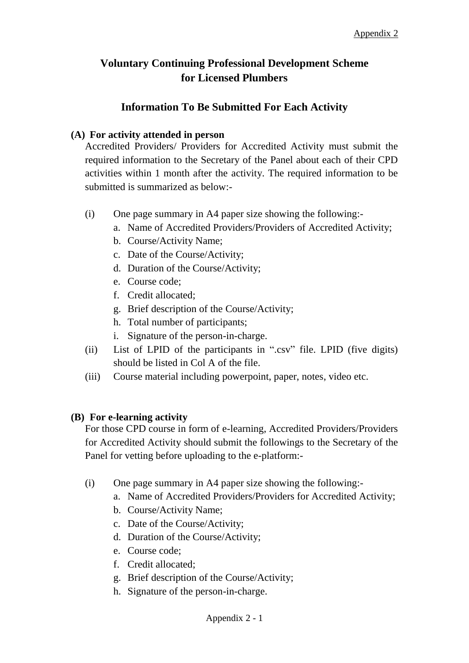## **Voluntary Continuing Professional Development Scheme for Licensed Plumbers**

## **Information To Be Submitted For Each Activity**

## **(A) For activity attended in person**

 Accredited Providers/ Providers for Accredited Activity must submit the required information to the Secretary of the Panel about each of their CPD activities within 1 month after the activity. The required information to be submitted is summarized as below:-

- $(i)$  One page summary in A4 paper size showing the following:
	- a. Name of Accredited Providers/Providers of Accredited Activity;
	- b. Course/Activity Name;
	- c. Date of the Course/Activity;
	- d. Duration of the Course/Activity;
	- e. Course code;
	- f. Credit allocated;
	- g. Brief description of the Course/Activity;
	- h. Total number of participants;
	- i. Signature of the person-in-charge.
- (ii) List of LPID of the participants in ".csv" file. LPID (five digits) should be listed in Col A of the file.
- (iii) Course material including powerpoint, paper, notes, video etc.

## **(B) For e-learning activity**

 For those CPD course in form of e-learning, Accredited Providers/Providers for Accredited Activity should submit the followings to the Secretary of the Panel for vetting before uploading to the e-platform:-

- $(i)$  One page summary in A4 paper size showing the following:
	- a. Name of Accredited Providers/Providers for Accredited Activity;
	- b. Course/Activity Name;
	- c. Date of the Course/Activity;
	- d. Duration of the Course/Activity;
	- e. Course code;
	- f. Credit allocated;
	- g. Brief description of the Course/Activity;
	- h. Signature of the person-in-charge.